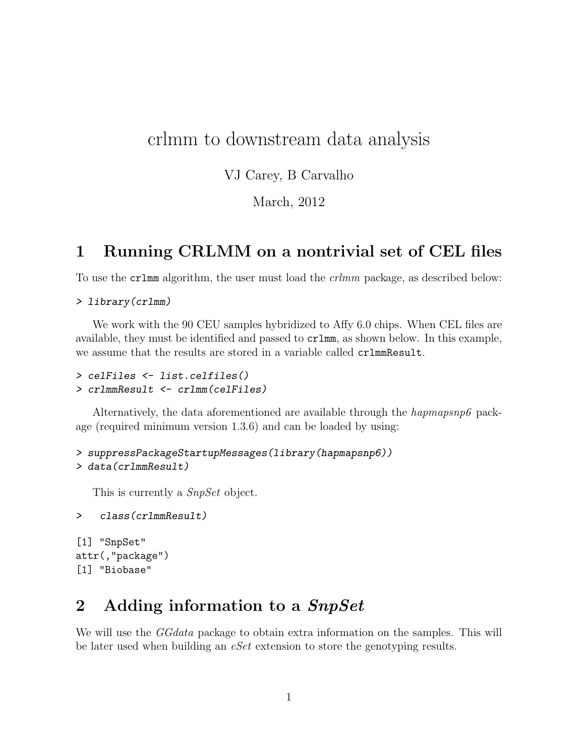## crlmm to downstream data analysis

VJ Carey, B Carvalho

March, 2012

### 1 Running CRLMM on a nontrivial set of CEL files

To use the crlmm algorithm, the user must load the crlmm package, as described below:

```
> library(crlmm)
```
We work with the 90 CEU samples hybridized to Affy 6.0 chips. When CEL files are available, they must be identified and passed to crlmm, as shown below. In this example, we assume that the results are stored in a variable called crlmmResult.

```
> celFiles <- list.celfiles()
> crlmmResult <- crlmm(celFiles)
```
Alternatively, the data aforementioned are available through the *hapmapsnp6* package (required minimum version 1.3.6) and can be loaded by using:

```
> suppressPackageStartupMessages(library(hapmapsnp6))
> data(crlmmResult)
```
This is currently a *SnpSet* object.

```
> class(crlmmResult)
```
[1] "SnpSet" attr(,"package") [1] "Biobase"

## 2 Adding information to a SnpSet

We will use the *GGdata* package to obtain extra information on the samples. This will be later used when building an eSet extension to store the genotyping results.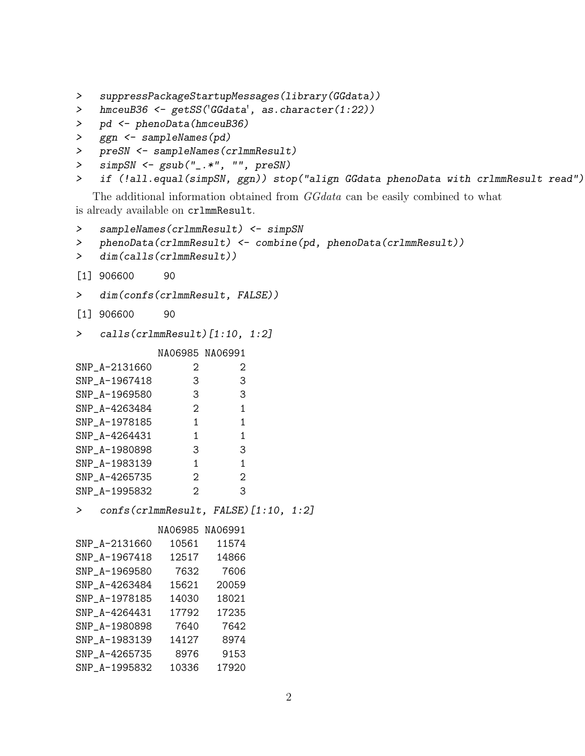- > suppressPackageStartupMessages(library(GGdata))
- > hmceuB36 <- getSS('GGdata', as.character(1:22))
- > pd <- phenoData(hmceuB36)
- > ggn <- sampleNames(pd)
- > preSN <- sampleNames(crlmmResult)
- > simpSN <- gsub("\_.\*", "", preSN)
- > if (!all.equal(simpSN, ggn)) stop("align GGdata phenoData with crlmmResult read")

The additional information obtained from GGdata can be easily combined to what is already available on crlmmResult.

```
> sampleNames(crlmmResult) <- simpSN
```

```
> phenoData(crlmmResult) <- combine(pd, phenoData(crlmmResult))
```

```
> dim(calls(crlmmResult))
```
- [1] 906600 90
- > dim(confs(crlmmResult, FALSE))
- [1] 906600 90
- > calls(crlmmResult)[1:10, 1:2]

#### NA06985 NA06991

| SNP_A-2131660 | 2 | 2                 |  |
|---------------|---|-------------------|--|
| SNP_A-1967418 | З | З                 |  |
| SNP_A-1969580 | З | З                 |  |
| SNP A-4263484 | 2 | 1                 |  |
| SNP_A-1978185 | 1 | 1                 |  |
| SNP_A-4264431 | 1 | 1                 |  |
| SNP_A-1980898 | З | З                 |  |
| SNP_A-1983139 | 1 | 1                 |  |
| SNP_A-4265735 | 2 | $\mathcal{D}_{1}$ |  |
| SNP_A-1995832 | 2 | 3                 |  |

> confs(crlmmResult, FALSE)[1:10, 1:2]

NA06985 NA06991

| SNP_A-2131660 | 10561 | 11574 |
|---------------|-------|-------|
| SNP_A-1967418 | 12517 | 14866 |
| SNP_A-1969580 | 7632  | 7606  |
| SNP_A-4263484 | 15621 | 20059 |
| SNP_A-1978185 | 14030 | 18021 |
| SNP_A-4264431 | 17792 | 17235 |
| SNP A-1980898 | 7640  | 7642  |
| SNP_A-1983139 | 14127 | 8974  |
| SNP_A-4265735 | 8976  | 9153  |
| SNP_A-1995832 | 10336 | 17920 |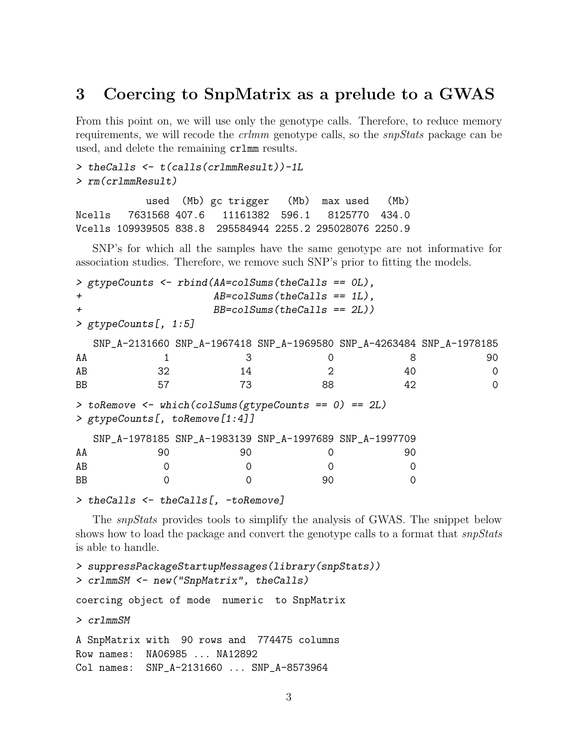### 3 Coercing to SnpMatrix as a prelude to a GWAS

From this point on, we will use only the genotype calls. Therefore, to reduce memory requirements, we will recode the *crlmm* genotype calls, so the *snpStats* package can be used, and delete the remaining crlmm results.

```
> theCalls <- t(calls(crlmmResult))-1L
> rm(crlmmResult)
```
used (Mb) gc trigger (Mb) max used (Mb) Ncells 7631568 407.6 11161382 596.1 8125770 434.0 Vcells 109939505 838.8 295584944 2255.2 295028076 2250.9

SNP's for which all the samples have the same genotype are not informative for association studies. Therefore, we remove such SNP's prior to fitting the models.

```
> gtypeCounts <- rbind(AA=colSums(theCalls == 0L),
+ AB=colSums(theCalls == 1L),
+ BB=colSums(theCalls == 2L))
> gtypeCounts[, 1:5]
 SNP_A-2131660 SNP_A-1967418 SNP_A-1969580 SNP_A-4263484 SNP_A-1978185
AA 1 3 0 8 90
AB 32 14 2 40 0
BB 57 73 88 42 0
> toRemove <- which(colSums(gtypeCounts == 0) == 2L)
> gtypeCounts[, toRemove[1:4]]
 SNP_A-1978185 SNP_A-1983139 SNP_A-1997689 SNP_A-1997709
AA 90 90 0 90
AB 0 0 0 0 0
BB 0 0 0 90 0
```

```
> theCalls <- theCalls[, -toRemove]
```
The snpStats provides tools to simplify the analysis of GWAS. The snippet below shows how to load the package and convert the genotype calls to a format that  $\textit{snpStats}$ is able to handle.

```
> suppressPackageStartupMessages(library(snpStats))
> crlmmSM <- new("SnpMatrix", theCalls)
coercing object of mode numeric to SnpMatrix
> crlmmSM
A SnpMatrix with 90 rows and 774475 columns
Row names: NA06985 ... NA12892
Col names: SNP_A-2131660 ... SNP_A-8573964
```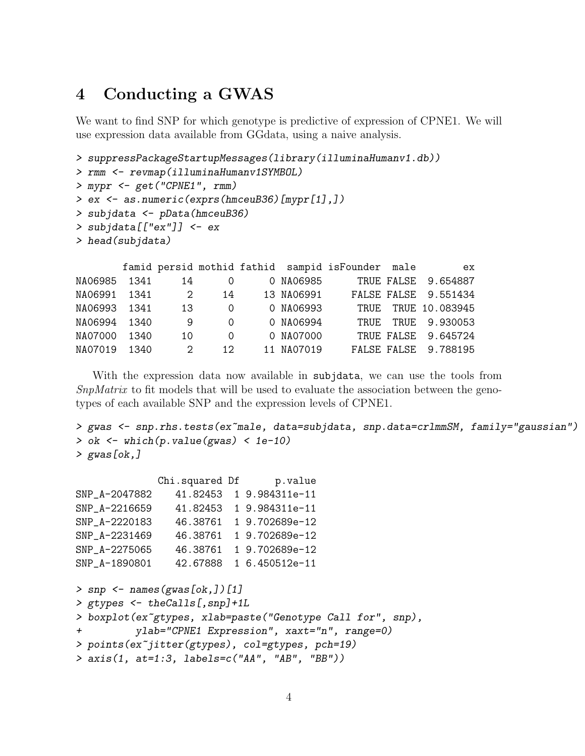## 4 Conducting a GWAS

We want to find SNP for which genotype is predictive of expression of CPNE1. We will use expression data available from GGdata, using a naive analysis.

```
> suppressPackageStartupMessages(library(illuminaHumanv1.db))
```

```
> rmm <- revmap(illuminaHumanv1SYMBOL)
```

```
> mypr <- get("CPNE1", rmm)
```

```
> ex <- as.numeric(exprs(hmceuB36)[mypr[1],])
```

```
> subjdata <- pData(hmceuB36)
```

```
> subjdata[["ex"]] <- ex
```

```
> head(subjdata)
```

|              |        |               |          |            | famid persid mothid fathid sampid isFounder male | ex                   |
|--------------|--------|---------------|----------|------------|--------------------------------------------------|----------------------|
| NA06985 1341 |        | 14            | 0        | 0 NA06985  |                                                  | TRUE FALSE 9.654887  |
| NA06991 1341 |        | $2^{1}$       | 14       | 13 NA06991 |                                                  | FALSE FALSE 9.551434 |
| NA06993 1341 |        | 13            | $\Omega$ | 0 NA06993  |                                                  | TRUE TRUE 10.083945  |
| NA06994 1340 |        | 9             | $\Omega$ | 0 NA06994  |                                                  | TRUE TRUE 9.930053   |
| NA07000      | - 1340 | 10            | $\Omega$ | 0 NA07000  |                                                  | TRUE FALSE 9.645724  |
| NA07019 1340 |        | $\mathcal{D}$ | 12.      | 11 NA07019 |                                                  | FALSE FALSE 9.788195 |

With the expression data now available in subjdata, we can use the tools from SnpMatrix to fit models that will be used to evaluate the association between the genotypes of each available SNP and the expression levels of CPNE1.

```
> gwas <- snp.rhs.tests(ex~male, data=subjdata, snp.data=crlmmSM, family="gaussian")
> ok <- which(p.value(gwas) < 1e-10)
> gwas[ok,]
```

|               | Chi.squared Df | p.value                  |
|---------------|----------------|--------------------------|
| SNP_A-2047882 |                | 41.82453 1 9.984311e-11  |
| SNP_A-2216659 |                | 41.82453 1 9.984311e-11  |
| SNP_A-2220183 |                | 46.38761 19.702689e-12   |
| SNP_A-2231469 |                | 46.38761 1 9.702689e-12  |
| SNP_A-2275065 | 46.38761       | 1 9.702689e-12           |
| SNP_A-1890801 |                | 42.67888  1 6.450512e-11 |

```
> snp \leq names(gwas[ok,])[1]
> gtypes <- theCalls[,snp]+1L
> boxplot(ex~gtypes, xlab=paste("Genotype Call for", snp),
          ylab="CPNE1 Expression", xaxt="n", range=0)
> points(ex~jitter(gtypes), col=gtypes, pch=19)
> axis(1, at=1:3, labels=c("AA", "AB", "BB"))
```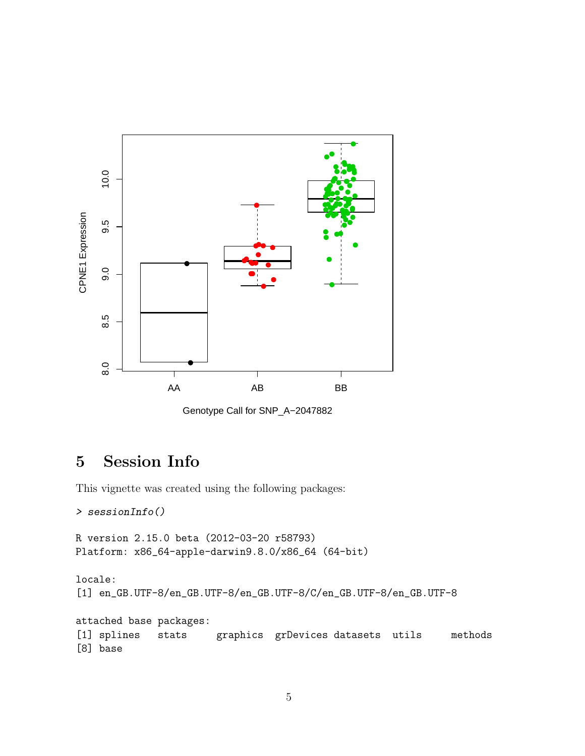

Genotype Call for SNP\_A−2047882

# 5 Session Info

This vignette was created using the following packages:

```
> sessionInfo()
```

```
R version 2.15.0 beta (2012-03-20 r58793)
Platform: x86_64-apple-darwin9.8.0/x86_64 (64-bit)
```

```
locale:
[1] en_GB.UTF-8/en_GB.UTF-8/en_GB.UTF-8/C/en_GB.UTF-8/en_GB.UTF-8
attached base packages:
[1] splines stats graphics grDevices datasets utils methods
[8] base
```